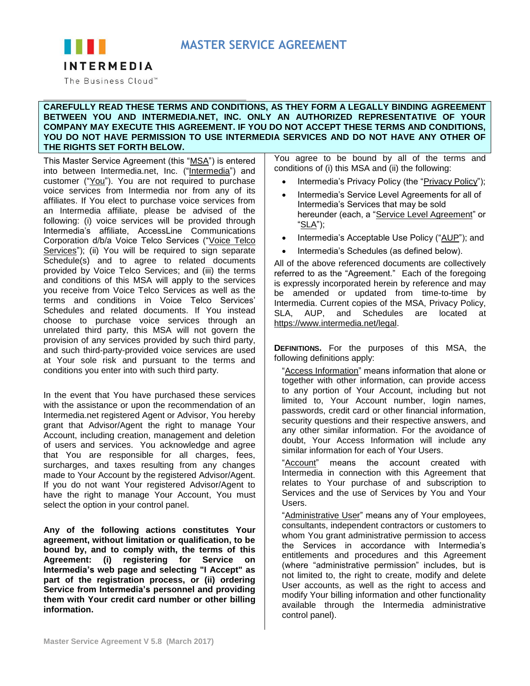# **MASTER SERVICE AGREEMENT**



The Business Cloud™

#### **CAREFULLY READ THESE TERMS AND CONDITIONS, AS THEY FORM A LEGALLY BINDING AGREEMENT BETWEEN YOU AND INTERMEDIA.NET, INC. ONLY AN AUTHORIZED REPRESENTATIVE OF YOUR COMPANY MAY EXECUTE THIS AGREEMENT. IF YOU DO NOT ACCEPT THESE TERMS AND CONDITIONS, YOU DO NOT HAVE PERMISSION TO USE INTERMEDIA SERVICES AND DO NOT HAVE ANY OTHER OF THE RIGHTS SET FORTH BELOW.**

This Master Service Agreement (this "MSA") is entered into between Intermedia.net, Inc. ("Intermedia") and customer ("You"). You are not required to purchase voice services from Intermedia nor from any of its affiliates. If You elect to purchase voice services from an Intermedia affiliate, please be advised of the following: (i) voice services will be provided through Intermedia's affiliate, AccessLine Communications Corporation d/b/a Voice Telco Services ("Voice Telco Services"); (ii) You will be required to sign separate Schedule(s) and to agree to related documents provided by Voice Telco Services; and (iii) the terms and conditions of this MSA will apply to the services you receive from Voice Telco Services as well as the terms and conditions in Voice Telco Services' Schedules and related documents. If You instead choose to purchase voice services through an unrelated third party, this MSA will not govern the provision of any services provided by such third party, and such third-party-provided voice services are used at Your sole risk and pursuant to the terms and conditions you enter into with such third party.

In the event that You have purchased these services with the assistance or upon the recommendation of an Intermedia.net registered Agent or Advisor, You hereby grant that Advisor/Agent the right to manage Your Account, including creation, management and deletion of users and services. You acknowledge and agree that You are responsible for all charges, fees, surcharges, and taxes resulting from any changes made to Your Account by the registered Advisor/Agent. If you do not want Your registered Advisor/Agent to have the right to manage Your Account, You must select the option in your control panel.

**Any of the following actions constitutes Your agreement, without limitation or qualification, to be bound by, and to comply with, the terms of this Agreement: (i) registering for Service on Intermedia's web page and selecting "I Accept" as part of the registration process, or (ii) ordering Service from Intermedia's personnel and providing them with Your credit card number or other billing information.** 

You agree to be bound by all of the terms and conditions of (i) this MSA and (ii) the following:

- Intermedia's Privacy Policy (the "Privacy Policy");
- Intermedia's Service Level Agreements for all of Intermedia's Services that may be sold hereunder (each, a "Service Level Agreement" or "SLA"):
- Intermedia's Acceptable Use Policy ("AUP"); and
- Intermedia's Schedules (as defined below).

All of the above referenced documents are collectively referred to as the "Agreement." Each of the foregoing is expressly incorporated herein by reference and may be amended or updated from time-to-time by Intermedia. Current copies of the MSA, Privacy Policy, SLA, AUP, and Schedules are located at [https://www.intermedia.net/legal.](https://www.intermedia.net/legal)

**DEFINITIONS.** For the purposes of this MSA, the following definitions apply:

"Access Information" means information that alone or together with other information, can provide access to any portion of Your Account, including but not limited to, Your Account number, login names, passwords, credit card or other financial information, security questions and their respective answers, and any other similar information. For the avoidance of doubt, Your Access Information will include any similar information for each of Your Users.

"Account" means the account created with Intermedia in connection with this Agreement that relates to Your purchase of and subscription to Services and the use of Services by You and Your Users.

"Administrative User" means any of Your employees, consultants, independent contractors or customers to whom You grant administrative permission to access the Services in accordance with Intermedia's entitlements and procedures and this Agreement (where "administrative permission" includes, but is not limited to, the right to create, modify and delete User accounts, as well as the right to access and modify Your billing information and other functionality available through the Intermedia administrative control panel).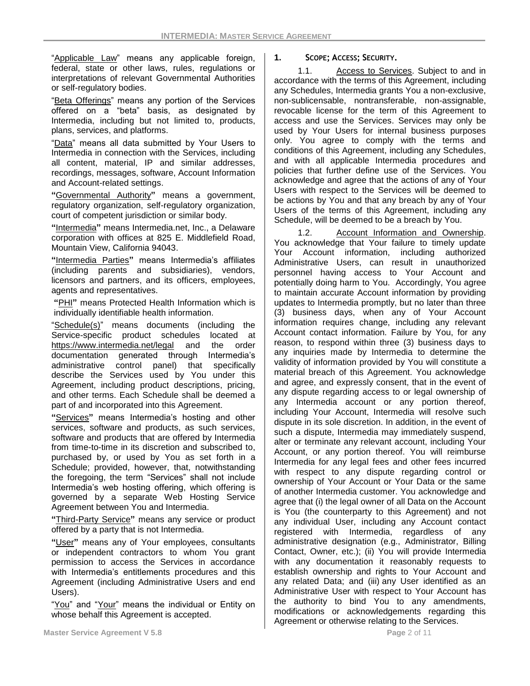"Applicable Law" means any applicable foreign, federal, state or other laws, rules, regulations or interpretations of relevant Governmental Authorities or self-regulatory bodies.

"Beta Offerings" means any portion of the Services offered on a "beta" basis, as designated by Intermedia, including but not limited to, products, plans, services, and platforms.

"Data" means all data submitted by Your Users to Intermedia in connection with the Services, including all content, material, IP and similar addresses, recordings, messages, software, Account Information and Account-related settings.

**"**Governmental Authority**"** means a government, regulatory organization, self-regulatory organization, court of competent jurisdiction or similar body.

**"**Intermedia**"** means Intermedia.net, Inc., a Delaware corporation with offices at 825 E. Middlefield Road, Mountain View, California 94043.

**"**Intermedia Parties**"** means Intermedia's affiliates (including parents and subsidiaries), vendors, licensors and partners, and its officers, employees, agents and representatives.

**"**PHI**"** means Protected Health Information which is individually identifiable health information.

"Schedule(s)" means documents (including the Service-specific product schedules located at <https://www.intermedia.net/legal> and the order documentation generated through Intermedia's administrative control panel) that specifically describe the Services used by You under this Agreement, including product descriptions, pricing, and other terms. Each Schedule shall be deemed a part of and incorporated into this Agreement.

**"**Services**"** means Intermedia's hosting and other services, software and products, as such services, software and products that are offered by Intermedia from time-to-time in its discretion and subscribed to, purchased by, or used by You as set forth in a Schedule; provided, however, that, notwithstanding the foregoing, the term "Services" shall not include Intermedia's web hosting offering, which offering is governed by a separate Web Hosting Service Agreement between You and Intermedia.

**"**Third-Party Service**"** means any service or product offered by a party that is not Intermedia.

**"**User**"** means any of Your employees, consultants or independent contractors to whom You grant permission to access the Services in accordance with Intermedia's entitlements procedures and this Agreement (including Administrative Users and end Users).

"You" and "Your" means the individual or Entity on whose behalf this Agreement is accepted.

#### **1. SCOPE; ACCESS; SECURITY.**

1.1. Access to Services. Subject to and in accordance with the terms of this Agreement, including any Schedules, Intermedia grants You a non-exclusive, non-sublicensable, nontransferable, non-assignable, revocable license for the term of this Agreement to access and use the Services. Services may only be used by Your Users for internal business purposes only. You agree to comply with the terms and conditions of this Agreement, including any Schedules, and with all applicable Intermedia procedures and policies that further define use of the Services. You acknowledge and agree that the actions of any of Your Users with respect to the Services will be deemed to be actions by You and that any breach by any of Your Users of the terms of this Agreement, including any Schedule, will be deemed to be a breach by You.

1.2. Account Information and Ownership. You acknowledge that Your failure to timely update Your Account information, including authorized Administrative Users, can result in unauthorized personnel having access to Your Account and potentially doing harm to You. Accordingly, You agree to maintain accurate Account information by providing updates to Intermedia promptly, but no later than three (3) business days, when any of Your Account information requires change, including any relevant Account contact information. Failure by You, for any reason, to respond within three (3) business days to any inquiries made by Intermedia to determine the validity of information provided by You will constitute a material breach of this Agreement. You acknowledge and agree, and expressly consent, that in the event of any dispute regarding access to or legal ownership of any Intermedia account or any portion thereof, including Your Account, Intermedia will resolve such dispute in its sole discretion. In addition, in the event of such a dispute, Intermedia may immediately suspend, alter or terminate any relevant account, including Your Account, or any portion thereof. You will reimburse Intermedia for any legal fees and other fees incurred with respect to any dispute regarding control or ownership of Your Account or Your Data or the same of another Intermedia customer. You acknowledge and agree that (i) the legal owner of all Data on the Account is You (the counterparty to this Agreement) and not any individual User, including any Account contact registered with Intermedia, regardless of any administrative designation (e.g., Administrator, Billing Contact, Owner, etc.); (ii) You will provide Intermedia with any documentation it reasonably requests to establish ownership and rights to Your Account and any related Data; and (iii) any User identified as an Administrative User with respect to Your Account has the authority to bind You to any amendments, modifications or acknowledgements regarding this Agreement or otherwise relating to the Services.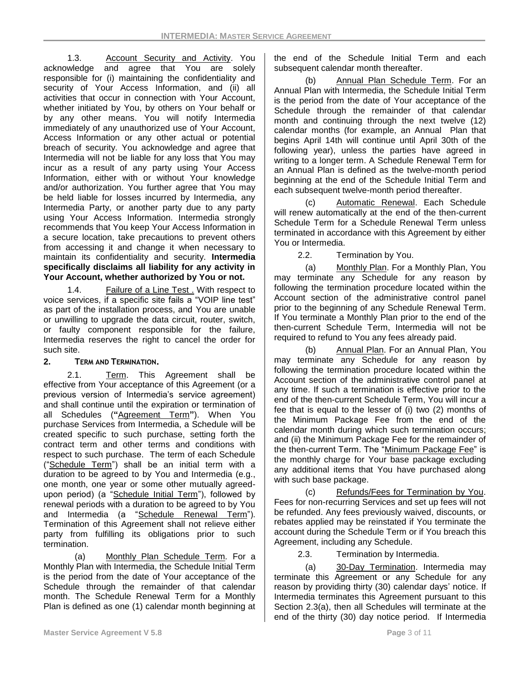1.3. Account Security and Activity. You acknowledge and agree that You are solely responsible for (i) maintaining the confidentiality and security of Your Access Information, and (ii) all activities that occur in connection with Your Account, whether initiated by You, by others on Your behalf or by any other means. You will notify Intermedia immediately of any unauthorized use of Your Account, Access Information or any other actual or potential breach of security. You acknowledge and agree that Intermedia will not be liable for any loss that You may incur as a result of any party using Your Access Information, either with or without Your knowledge and/or authorization. You further agree that You may be held liable for losses incurred by Intermedia, any Intermedia Party, or another party due to any party using Your Access Information. Intermedia strongly recommends that You keep Your Access Information in a secure location, take precautions to prevent others from accessing it and change it when necessary to maintain its confidentiality and security. **Intermedia specifically disclaims all liability for any activity in Your Account, whether authorized by You or not.**

1.4. Failure of a Line Test . With respect to voice services, if a specific site fails a "VOIP line test" as part of the installation process, and You are unable or unwilling to upgrade the data circuit, router, switch, or faulty component responsible for the failure, Intermedia reserves the right to cancel the order for such site.

# **2. TERM AND TERMINATION.**

2.1. Term. This Agreement shall be effective from Your acceptance of this Agreement (or a previous version of Intermedia's service agreement) and shall continue until the expiration or termination of all Schedules (**"**Agreement Term**"**). When You purchase Services from Intermedia, a Schedule will be created specific to such purchase, setting forth the contract term and other terms and conditions with respect to such purchase. The term of each Schedule ("Schedule Term") shall be an initial term with a duration to be agreed to by You and Intermedia (e.g., one month, one year or some other mutually agreedupon period) (a "Schedule Initial Term"), followed by renewal periods with a duration to be agreed to by You and Intermedia (a "Schedule Renewal Term"). Termination of this Agreement shall not relieve either party from fulfilling its obligations prior to such termination.

(a) Monthly Plan Schedule Term*.* For a Monthly Plan with Intermedia, the Schedule Initial Term is the period from the date of Your acceptance of the Schedule through the remainder of that calendar month. The Schedule Renewal Term for a Monthly Plan is defined as one (1) calendar month beginning at

the end of the Schedule Initial Term and each subsequent calendar month thereafter.

(b) Annual Plan Schedule Term. For an Annual Plan with Intermedia, the Schedule Initial Term is the period from the date of Your acceptance of the Schedule through the remainder of that calendar month and continuing through the next twelve (12) calendar months (for example, an Annual Plan that begins April 14th will continue until April 30th of the following year), unless the parties have agreed in writing to a longer term. A Schedule Renewal Term for an Annual Plan is defined as the twelve-month period beginning at the end of the Schedule Initial Term and each subsequent twelve-month period thereafter.

(c) Automatic Renewal. Each Schedule will renew automatically at the end of the then-current Schedule Term for a Schedule Renewal Term unless terminated in accordance with this Agreement by either You or Intermedia.

2.2. Termination by You.

(a) Monthly Plan. For a Monthly Plan, You may terminate any Schedule for any reason by following the termination procedure located within the Account section of the administrative control panel prior to the beginning of any Schedule Renewal Term. If You terminate a Monthly Plan prior to the end of the then-current Schedule Term, Intermedia will not be required to refund to You any fees already paid.

(b) Annual Plan. For an Annual Plan, You may terminate any Schedule for any reason by following the termination procedure located within the Account section of the administrative control panel at any time. If such a termination is effective prior to the end of the then-current Schedule Term, You will incur a fee that is equal to the lesser of (i) two (2) months of the Minimum Package Fee from the end of the calendar month during which such termination occurs; and (ii) the Minimum Package Fee for the remainder of the then-current Term. The "Minimum Package Fee" is the monthly charge for Your base package excluding any additional items that You have purchased along with such base package.

(c) Refunds/Fees for Termination by You. Fees for non-recurring Services and set up fees will not be refunded. Any fees previously waived, discounts, or rebates applied may be reinstated if You terminate the account during the Schedule Term or if You breach this Agreement, including any Schedule.

2.3. Termination by Intermedia.

(a) 30-Day Termination. Intermedia may terminate this Agreement or any Schedule for any reason by providing thirty (30) calendar days' notice. If Intermedia terminates this Agreement pursuant to this Section 2.3(a), then all Schedules will terminate at the end of the thirty (30) day notice period. If Intermedia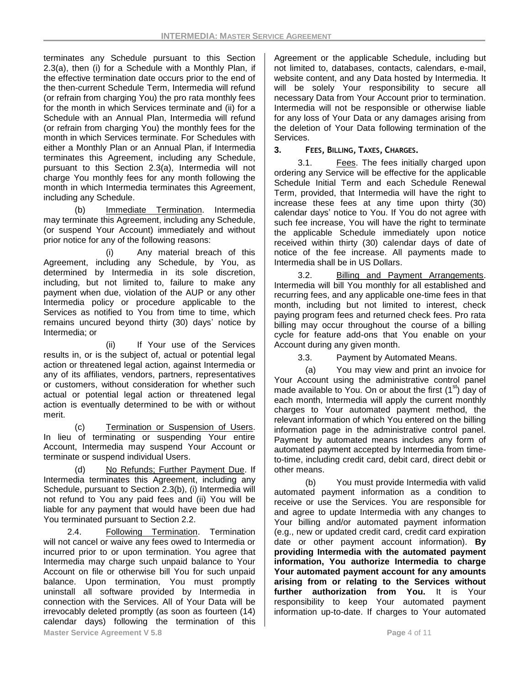terminates any Schedule pursuant to this Section 2.3(a), then (i) for a Schedule with a Monthly Plan, if the effective termination date occurs prior to the end of the then-current Schedule Term, Intermedia will refund (or refrain from charging You) the pro rata monthly fees for the month in which Services terminate and (ii) for a Schedule with an Annual Plan, Intermedia will refund (or refrain from charging You) the monthly fees for the month in which Services terminate. For Schedules with either a Monthly Plan or an Annual Plan, if Intermedia terminates this Agreement, including any Schedule, pursuant to this Section 2.3(a), Intermedia will not charge You monthly fees for any month following the month in which Intermedia terminates this Agreement, including any Schedule.

(b) Immediate Termination. Intermedia may terminate this Agreement, including any Schedule, (or suspend Your Account) immediately and without prior notice for any of the following reasons:

(i) Any material breach of this Agreement, including any Schedule, by You, as determined by Intermedia in its sole discretion, including, but not limited to, failure to make any payment when due, violation of the AUP or any other Intermedia policy or procedure applicable to the Services as notified to You from time to time, which remains uncured beyond thirty (30) days' notice by Intermedia; or

(ii) If Your use of the Services results in, or is the subject of, actual or potential legal action or threatened legal action, against Intermedia or any of its affiliates, vendors, partners, representatives or customers, without consideration for whether such actual or potential legal action or threatened legal action is eventually determined to be with or without merit.

(c) Termination or Suspension of Users. In lieu of terminating or suspending Your entire Account, Intermedia may suspend Your Account or terminate or suspend individual Users.

(d) No Refunds; Further Payment Due. If Intermedia terminates this Agreement, including any Schedule, pursuant to Section 2.3(b), (i) Intermedia will not refund to You any paid fees and (ii) You will be liable for any payment that would have been due had You terminated pursuant to Section 2.2.

**Master Service Agreement V 5.8 Page 1 of 11 Page 4 of 11 Page 4 of 11 Page 4 of 11** 2.4. Following Termination. Termination will not cancel or waive any fees owed to Intermedia or incurred prior to or upon termination. You agree that Intermedia may charge such unpaid balance to Your Account on file or otherwise bill You for such unpaid balance. Upon termination, You must promptly uninstall all software provided by Intermedia in connection with the Services. All of Your Data will be irrevocably deleted promptly (as soon as fourteen (14) calendar days) following the termination of this

Agreement or the applicable Schedule, including but not limited to, databases, contacts, calendars, e-mail, website content, and any Data hosted by Intermedia. It will be solely Your responsibility to secure all necessary Data from Your Account prior to termination. Intermedia will not be responsible or otherwise liable for any loss of Your Data or any damages arising from the deletion of Your Data following termination of the Services.

# **3. FEES, BILLING, TAXES, CHARGES.**

3.1. Fees. The fees initially charged upon ordering any Service will be effective for the applicable Schedule Initial Term and each Schedule Renewal Term, provided, that Intermedia will have the right to increase these fees at any time upon thirty (30) calendar days' notice to You. If You do not agree with such fee increase, You will have the right to terminate the applicable Schedule immediately upon notice received within thirty (30) calendar days of date of notice of the fee increase. All payments made to Intermedia shall be in US Dollars.

3.2. Billing and Payment Arrangements. Intermedia will bill You monthly for all established and recurring fees, and any applicable one-time fees in that month, including but not limited to interest, check paying program fees and returned check fees. Pro rata billing may occur throughout the course of a billing cycle for feature add-ons that You enable on your Account during any given month.

3.3. Payment by Automated Means.

(a) You may view and print an invoice for Your Account using the administrative control panel made available to You. On or about the first  $(1<sup>st</sup>)$  day of each month, Intermedia will apply the current monthly charges to Your automated payment method, the relevant information of which You entered on the billing information page in the administrative control panel. Payment by automated means includes any form of automated payment accepted by Intermedia from timeto-time, including credit card, debit card, direct debit or other means.

(b) You must provide Intermedia with valid automated payment information as a condition to receive or use the Services. You are responsible for and agree to update Intermedia with any changes to Your billing and/or automated payment information (e.g., new or updated credit card, credit card expiration date or other payment account information). **By providing Intermedia with the automated payment information, You authorize Intermedia to charge Your automated payment account for any amounts arising from or relating to the Services without further authorization from You.** It is Your responsibility to keep Your automated payment information up-to-date. If charges to Your automated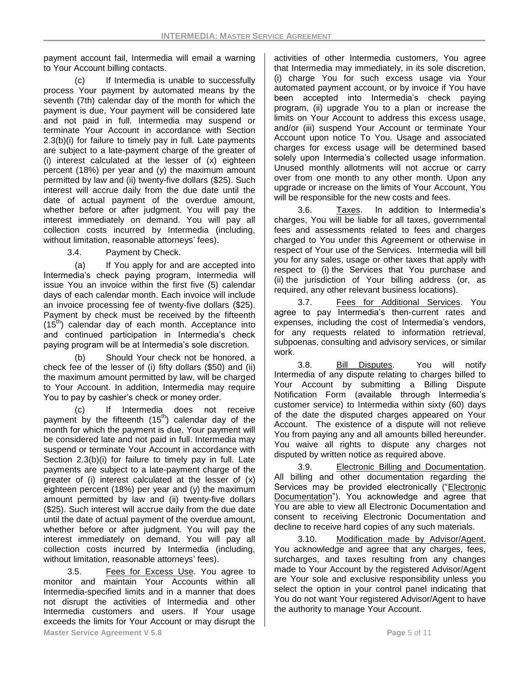payment account fail, Intermedia will email a warning to Your Account billing contacts.

(c) If Intermedia is unable to successfully process Your payment by automated means by the seventh (7th) calendar day of the month for which the payment is due, Your payment will be considered late and not paid in full. Intermedia may suspend or terminate Your Account in accordance with Section 2.3(b)(i) for failure to timely pay in full. Late payments are subject to a late-payment charge of the greater of (i) interest calculated at the lesser of (x) eighteen percent (18%) per year and (y) the maximum amount permitted by law and (ii) twenty-five dollars (\$25). Such interest will accrue daily from the due date until the date of actual payment of the overdue amount, whether before or after judgment. You will pay the interest immediately on demand. You will pay all collection costs incurred by Intermedia (including, without limitation, reasonable attorneys' fees).

3.4. Payment by Check.

(a) If You apply for and are accepted into Intermedia's check paying program, Intermedia will issue You an invoice within the first five (5) calendar days of each calendar month. Each invoice will include an invoice processing fee of twenty-five dollars (\$25). Payment by check must be received by the fifteenth  $(15<sup>th</sup>)$  calendar day of each month. Acceptance into and continued participation in Intermedia's check paying program will be at Intermedia's sole discretion.

(b) Should Your check not be honored, a check fee of the lesser of (i) fifty dollars (\$50) and (ii) the maximum amount permitted by law, will be charged to Your Account. In addition, Intermedia may require You to pay by cashier's check or money order.

(c) If Intermedia does not receive payment by the fifteenth  $(15<sup>th</sup>)$  calendar day of the month for which the payment is due, Your payment will be considered late and not paid in full. Intermedia may suspend or terminate Your Account in accordance with Section 2.3(b)(i) for failure to timely pay in full. Late payments are subject to a late-payment charge of the greater of (i) interest calculated at the lesser of (x) eighteen percent (18%) per year and (y) the maximum amount permitted by law and (ii) twenty-five dollars (\$25). Such interest will accrue daily from the due date until the date of actual payment of the overdue amount, whether before or after judgment. You will pay the interest immediately on demand. You will pay all collection costs incurred by Intermedia (including, without limitation, reasonable attorneys' fees).

3.5. Fees for Excess Use. You agree to monitor and maintain Your Accounts within all Intermedia-specified limits and in a manner that does not disrupt the activities of Intermedia and other Intermedia customers and users. If Your usage exceeds the limits for Your Account or may disrupt the activities of other Intermedia customers, You agree that Intermedia may immediately, in its sole discretion, (i) charge You for such excess usage via Your automated payment account, or by invoice if You have been accepted into Intermedia's check paying program, (ii) upgrade You to a plan or increase the limits on Your Account to address this excess usage, and/or (iii) suspend Your Account or terminate Your Account upon notice To You. Usage and associated charges for excess usage will be determined based solely upon Intermedia's collected usage information. Unused monthly allotments will not accrue or carry over from one month to any other month. Upon any upgrade or increase on the limits of Your Account, You will be responsible for the new costs and fees.

3.6. Taxes. In addition to Intermedia's charges, You will be liable for all taxes, governmental fees and assessments related to fees and charges charged to You under this Agreement or otherwise in respect of Your use of the Services. Intermedia will bill you for any sales, usage or other taxes that apply with respect to (i) the Services that You purchase and (ii) the jurisdiction of Your billing address (or, as required, any other relevant business locations).

3.7. Fees for Additional Services. You agree to pay Intermedia's then-current rates and expenses, including the cost of Intermedia's vendors, for any requests related to information retrieval, subpoenas, consulting and advisory services, or similar work.

3.8. Bill Disputes. You will notify Intermedia of any dispute relating to charges billed to Your Account by submitting a Billing Dispute Notification Form (available through Intermedia's customer service) to Intermedia within sixty (60) days of the date the disputed charges appeared on Your Account. The existence of a dispute will not relieve You from paying any and all amounts billed hereunder. You waive all rights to dispute any charges not disputed by written notice as required above.

3.9. Electronic Billing and Documentation. All billing and other documentation regarding the Services may be provided electronically ("Electronic Documentation"). You acknowledge and agree that You are able to view all Electronic Documentation and consent to receiving Electronic Documentation and decline to receive hard copies of any such materials.

3.10. Modification made by Advisor/Agent. You acknowledge and agree that any charges, fees, surcharges, and taxes resulting from any changes made to Your Account by the registered Advisor/Agent are Your sole and exclusive responsibility unless you select the option in your control panel indicating that You do not want Your registered Advisor/Agent to have the authority to manage Your Account.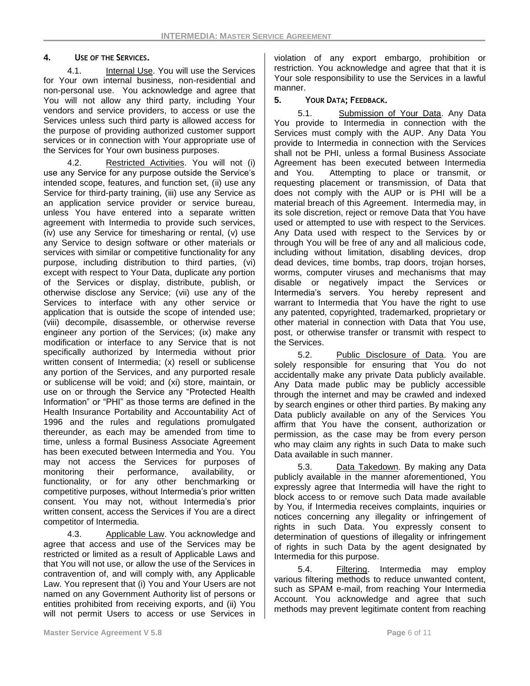## **4. USE OF THE SERVICES.**

4.1. Internal Use. You will use the Services for Your own internal business, non-residential and non-personal use. You acknowledge and agree that You will not allow any third party, including Your vendors and service providers, to access or use the Services unless such third party is allowed access for the purpose of providing authorized customer support services or in connection with Your appropriate use of the Services for Your own business purposes.

4.2. Restricted Activities. You will not (i) use any Service for any purpose outside the Service's intended scope, features, and function set, (ii) use any Service for third-party training, (iii) use any Service as an application service provider or service bureau, unless You have entered into a separate written agreement with Intermedia to provide such services, (iv) use any Service for timesharing or rental, (v) use any Service to design software or other materials or services with similar or competitive functionality for any purpose, including distribution to third parties, (vi) except with respect to Your Data, duplicate any portion of the Services or display, distribute, publish, or otherwise disclose any Service; (vii) use any of the Services to interface with any other service or application that is outside the scope of intended use; (viii) decompile, disassemble, or otherwise reverse engineer any portion of the Services; (ix) make any modification or interface to any Service that is not specifically authorized by Intermedia without prior written consent of Intermedia; (x) resell or sublicense any portion of the Services, and any purported resale or sublicense will be void; and (xi) store, maintain, or use on or through the Service any "Protected Health Information" or "PHI" as those terms are defined in the Health Insurance Portability and Accountability Act of 1996 and the rules and regulations promulgated thereunder, as each may be amended from time to time, unless a formal Business Associate Agreement has been executed between Intermedia and You. You may not access the Services for purposes of monitoring their performance, availability, or functionality, or for any other benchmarking or competitive purposes, without Intermedia's prior written consent. You may not, without Intermedia's prior written consent, access the Services if You are a direct competitor of Intermedia.

4.3. Applicable Law. You acknowledge and agree that access and use of the Services may be restricted or limited as a result of Applicable Laws and that You will not use, or allow the use of the Services in contravention of, and will comply with, any Applicable Law. You represent that (i) You and Your Users are not named on any Government Authority list of persons or entities prohibited from receiving exports, and (ii) You will not permit Users to access or use Services in

violation of any export embargo, prohibition or restriction. You acknowledge and agree that that it is Your sole responsibility to use the Services in a lawful manner.

### **5. YOUR DATA; FEEDBACK.**

5.1. Submission of Your Data. Any Data You provide to Intermedia in connection with the Services must comply with the AUP. Any Data You provide to Intermedia in connection with the Services shall not be PHI, unless a formal Business Associate Agreement has been executed between Intermedia and You. Attempting to place or transmit, or requesting placement or transmission, of Data that does not comply with the AUP or is PHI will be a material breach of this Agreement. Intermedia may, in its sole discretion, reject or remove Data that You have used or attempted to use with respect to the Services. Any Data used with respect to the Services by or through You will be free of any and all malicious code, including without limitation, disabling devices, drop dead devices, time bombs, trap doors, trojan horses, worms, computer viruses and mechanisms that may disable or negatively impact the Services or Intermedia's servers. You hereby represent and warrant to Intermedia that You have the right to use any patented, copyrighted, trademarked, proprietary or other material in connection with Data that You use, post, or otherwise transfer or transmit with respect to the Services.

5.2. Public Disclosure of Data. You are solely responsible for ensuring that You do not accidentally make any private Data publicly available. Any Data made public may be publicly accessible through the internet and may be crawled and indexed by search engines or other third parties. By making any Data publicly available on any of the Services You affirm that You have the consent, authorization or permission, as the case may be from every person who may claim any rights in such Data to make such Data available in such manner.

5.3. Data Takedown. By making any Data publicly available in the manner aforementioned, You expressly agree that Intermedia will have the right to block access to or remove such Data made available by You, if Intermedia receives complaints, inquiries or notices concerning any illegality or infringement of rights in such Data. You expressly consent to determination of questions of illegality or infringement of rights in such Data by the agent designated by Intermedia for this purpose.

5.4. Filtering. Intermedia may employ various filtering methods to reduce unwanted content, such as SPAM e-mail, from reaching Your Intermedia Account. You acknowledge and agree that such methods may prevent legitimate content from reaching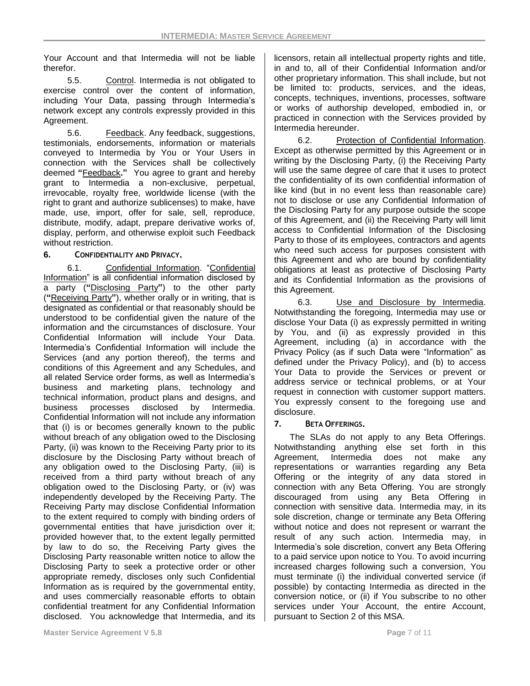Your Account and that Intermedia will not be liable therefor.

5.5. Control. Intermedia is not obligated to exercise control over the content of information, including Your Data, passing through Intermedia's network except any controls expressly provided in this Agreement.

5.6. Feedback. Any feedback, suggestions, testimonials, endorsements, information or materials conveyed to Intermedia by You or Your Users in connection with the Services shall be collectively deemed **"**Feedback**."** You agree to grant and hereby grant to Intermedia a non-exclusive, perpetual, irrevocable, royalty free, worldwide license (with the right to grant and authorize sublicenses) to make, have made, use, import, offer for sale, sell, reproduce, distribute, modify, adapt, prepare derivative works of, display, perform, and otherwise exploit such Feedback without restriction.

### **6. CONFIDENTIALITY AND PRIVACY.**

6.1. Confidential Information. "Confidential Information" is all confidential information disclosed by a party (**"**Disclosing Party**"**) to the other party (**"**Receiving Party**"**), whether orally or in writing, that is designated as confidential or that reasonably should be understood to be confidential given the nature of the information and the circumstances of disclosure. Your Confidential Information will include Your Data. Intermedia's Confidential Information will include the Services (and any portion thereof), the terms and conditions of this Agreement and any Schedules, and all related Service order forms, as well as Intermedia's business and marketing plans, technology and technical information, product plans and designs, and business processes disclosed by Intermedia. Confidential Information will not include any information that (i) is or becomes generally known to the public without breach of any obligation owed to the Disclosing Party, (ii) was known to the Receiving Party prior to its disclosure by the Disclosing Party without breach of any obligation owed to the Disclosing Party, (iii) is received from a third party without breach of any obligation owed to the Disclosing Party, or (iv) was independently developed by the Receiving Party. The Receiving Party may disclose Confidential Information to the extent required to comply with binding orders of governmental entities that have jurisdiction over it; provided however that, to the extent legally permitted by law to do so, the Receiving Party gives the Disclosing Party reasonable written notice to allow the Disclosing Party to seek a protective order or other appropriate remedy, discloses only such Confidential Information as is required by the governmental entity, and uses commercially reasonable efforts to obtain confidential treatment for any Confidential Information disclosed. You acknowledge that Intermedia, and its licensors, retain all intellectual property rights and title, in and to, all of their Confidential Information and/or other proprietary information. This shall include, but not be limited to: products, services, and the ideas, concepts, techniques, inventions, processes, software or works of authorship developed, embodied in, or practiced in connection with the Services provided by Intermedia hereunder.

6.2. Protection of Confidential Information. Except as otherwise permitted by this Agreement or in writing by the Disclosing Party, (i) the Receiving Party will use the same degree of care that it uses to protect the confidentiality of its own confidential information of like kind (but in no event less than reasonable care) not to disclose or use any Confidential Information of the Disclosing Party for any purpose outside the scope of this Agreement, and (ii) the Receiving Party will limit access to Confidential Information of the Disclosing Party to those of its employees, contractors and agents who need such access for purposes consistent with this Agreement and who are bound by confidentiality obligations at least as protective of Disclosing Party and its Confidential Information as the provisions of this Agreement.

6.3. Use and Disclosure by Intermedia. Notwithstanding the foregoing, Intermedia may use or disclose Your Data (i) as expressly permitted in writing by You, and (ii) as expressly provided in this Agreement, including (a) in accordance with the Privacy Policy (as if such Data were "Information" as defined under the Privacy Policy), and (b) to access Your Data to provide the Services or prevent or address service or technical problems, or at Your request in connection with customer support matters. You expressly consent to the foregoing use and disclosure.

### **7. BETA OFFERINGS.**

The SLAs do not apply to any Beta Offerings. Notwithstanding anything else set forth in this Agreement, Intermedia does not make any representations or warranties regarding any Beta Offering or the integrity of any data stored in connection with any Beta Offering. You are strongly discouraged from using any Beta Offering in connection with sensitive data. Intermedia may, in its sole discretion, change or terminate any Beta Offering without notice and does not represent or warrant the result of any such action. Intermedia may, in Intermedia's sole discretion, convert any Beta Offering to a paid service upon notice to You. To avoid incurring increased charges following such a conversion, You must terminate (i) the individual converted service (if possible) by contacting Intermedia as directed in the conversion notice, or (ii) if You subscribe to no other services under Your Account, the entire Account, pursuant to Section 2 of this MSA.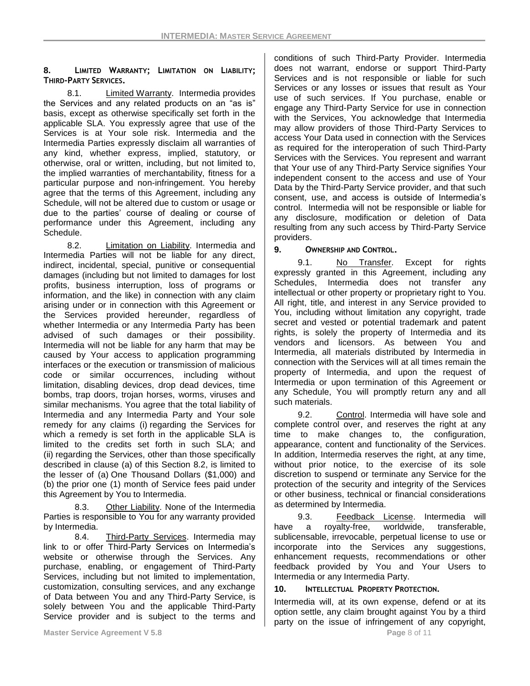## **8. LIMITED WARRANTY; LIMITATION ON LIABILITY; THIRD-PARTY SERVICES.**

8.1. Limited Warranty. Intermedia provides the Services and any related products on an "as is" basis, except as otherwise specifically set forth in the applicable SLA. You expressly agree that use of the Services is at Your sole risk. Intermedia and the Intermedia Parties expressly disclaim all warranties of any kind, whether express, implied, statutory, or otherwise, oral or written, including, but not limited to, the implied warranties of merchantability, fitness for a particular purpose and non-infringement. You hereby agree that the terms of this Agreement, including any Schedule, will not be altered due to custom or usage or due to the parties' course of dealing or course of performance under this Agreement, including any Schedule.

8.2. Limitation on Liability. Intermedia and Intermedia Parties will not be liable for any direct, indirect, incidental, special, punitive or consequential damages (including but not limited to damages for lost profits, business interruption, loss of programs or information, and the like) in connection with any claim arising under or in connection with this Agreement or the Services provided hereunder, regardless of whether Intermedia or any Intermedia Party has been advised of such damages or their possibility. Intermedia will not be liable for any harm that may be caused by Your access to application programming interfaces or the execution or transmission of malicious code or similar occurrences, including without limitation, disabling devices, drop dead devices, time bombs, trap doors, trojan horses, worms, viruses and similar mechanisms. You agree that the total liability of Intermedia and any Intermedia Party and Your sole remedy for any claims (i) regarding the Services for which a remedy is set forth in the applicable SLA is limited to the credits set forth in such SLA; and (ii) regarding the Services, other than those specifically described in clause (a) of this Section 8.2, is limited to the lesser of (a) One Thousand Dollars (\$1,000) and (b) the prior one (1) month of Service fees paid under this Agreement by You to Intermedia.

8.3. Other Liability. None of the Intermedia Parties is responsible to You for any warranty provided by Intermedia.

8.4. Third-Party Services. Intermedia may link to or offer Third-Party Services on Intermedia's website or otherwise through the Services. Any purchase, enabling, or engagement of Third-Party Services, including but not limited to implementation, customization, consulting services, and any exchange of Data between You and any Third-Party Service, is solely between You and the applicable Third-Party Service provider and is subject to the terms and

conditions of such Third-Party Provider. Intermedia does not warrant, endorse or support Third-Party Services and is not responsible or liable for such Services or any losses or issues that result as Your use of such services. If You purchase, enable or engage any Third-Party Service for use in connection with the Services, You acknowledge that Intermedia may allow providers of those Third-Party Services to access Your Data used in connection with the Services as required for the interoperation of such Third-Party Services with the Services. You represent and warrant that Your use of any Third-Party Service signifies Your independent consent to the access and use of Your Data by the Third-Party Service provider, and that such consent, use, and access is outside of Intermedia's control. Intermedia will not be responsible or liable for any disclosure, modification or deletion of Data resulting from any such access by Third-Party Service providers.

# **9. OWNERSHIP AND CONTROL.**

9.1. No Transfer. Except for rights expressly granted in this Agreement, including any Schedules, Intermedia does not transfer any intellectual or other property or proprietary right to You. All right, title, and interest in any Service provided to You, including without limitation any copyright, trade secret and vested or potential trademark and patent rights, is solely the property of Intermedia and its vendors and licensors. As between You and Intermedia, all materials distributed by Intermedia in connection with the Services will at all times remain the property of Intermedia, and upon the request of Intermedia or upon termination of this Agreement or any Schedule, You will promptly return any and all such materials.

9.2. Control. Intermedia will have sole and complete control over, and reserves the right at any time to make changes to, the configuration, appearance, content and functionality of the Services. In addition, Intermedia reserves the right, at any time, without prior notice, to the exercise of its sole discretion to suspend or terminate any Service for the protection of the security and integrity of the Services or other business, technical or financial considerations as determined by Intermedia.

9.3. Feedback License. Intermedia will have a royalty-free, worldwide, transferable, sublicensable, irrevocable, perpetual license to use or incorporate into the Services any suggestions, enhancement requests, recommendations or other feedback provided by You and Your Users to Intermedia or any Intermedia Party.

**10. INTELLECTUAL PROPERTY PROTECTION.**

Intermedia will, at its own expense, defend or at its option settle, any claim brought against You by a third party on the issue of infringement of any copyright,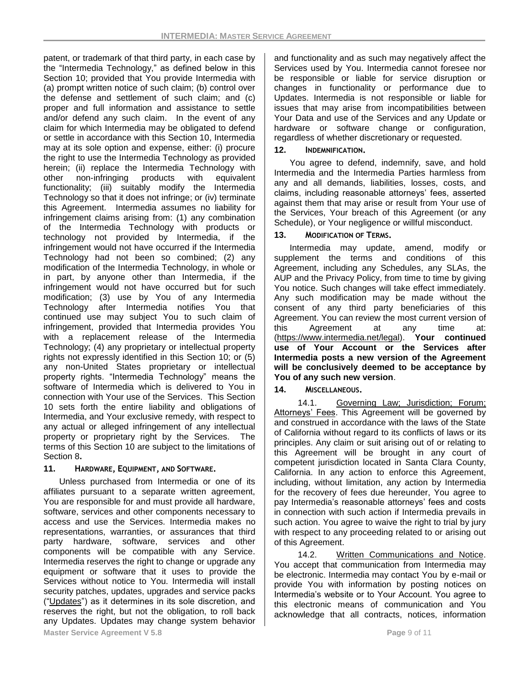patent, or trademark of that third party, in each case by the "Intermedia Technology," as defined below in this Section 10; provided that You provide Intermedia with (a) prompt written notice of such claim; (b) control over the defense and settlement of such claim; and (c) proper and full information and assistance to settle and/or defend any such claim. In the event of any claim for which Intermedia may be obligated to defend or settle in accordance with this Section 10, Intermedia may at its sole option and expense, either: (i) procure the right to use the Intermedia Technology as provided herein; (ii) replace the Intermedia Technology with other non-infringing products with equivalent functionality; (iii) suitably modify the Intermedia Technology so that it does not infringe; or (iv) terminate this Agreement. Intermedia assumes no liability for infringement claims arising from: (1) any combination of the Intermedia Technology with products or technology not provided by Intermedia, if the infringement would not have occurred if the Intermedia Technology had not been so combined; (2) any modification of the Intermedia Technology, in whole or in part, by anyone other than Intermedia, if the infringement would not have occurred but for such modification; (3) use by You of any Intermedia Technology after Intermedia notifies You that continued use may subject You to such claim of infringement, provided that Intermedia provides You with a replacement release of the Intermedia Technology; (4) any proprietary or intellectual property rights not expressly identified in this Section 10; or (5) any non-United States proprietary or intellectual property rights. "Intermedia Technology" means the software of Intermedia which is delivered to You in connection with Your use of the Services. This Section 10 sets forth the entire liability and obligations of Intermedia, and Your exclusive remedy, with respect to any actual or alleged infringement of any intellectual property or proprietary right by the Services. The terms of this Section 10 are subject to the limitations of Section 8**.**

### **11. HARDWARE, EQUIPMENT, AND SOFTWARE.**

Unless purchased from Intermedia or one of its affiliates pursuant to a separate written agreement, You are responsible for and must provide all hardware, software, services and other components necessary to access and use the Services. Intermedia makes no representations, warranties, or assurances that third party hardware, software, services and other components will be compatible with any Service. Intermedia reserves the right to change or upgrade any equipment or software that it uses to provide the Services without notice to You. Intermedia will install security patches, updates, upgrades and service packs ("Updates") as it determines in its sole discretion, and reserves the right, but not the obligation, to roll back any Updates. Updates may change system behavior and functionality and as such may negatively affect the Services used by You. Intermedia cannot foresee nor be responsible or liable for service disruption or changes in functionality or performance due to Updates. Intermedia is not responsible or liable for issues that may arise from incompatibilities between Your Data and use of the Services and any Update or hardware or software change or configuration, regardless of whether discretionary or requested.

# **12. INDEMNIFICATION.**

You agree to defend, indemnify, save, and hold Intermedia and the Intermedia Parties harmless from any and all demands, liabilities, losses, costs, and claims, including reasonable attorneys' fees, asserted against them that may arise or result from Your use of the Services, Your breach of this Agreement (or any Schedule), or Your negligence or willful misconduct.

# 13. **MODIFICATION OF TERMS.**

Intermedia may update, amend, modify or supplement the terms and conditions of this Agreement, including any Schedules, any SLAs, the AUP and the Privacy Policy, from time to time by giving You notice. Such changes will take effect immediately. Any such modification may be made without the consent of any third party beneficiaries of this Agreement. You can review the most current version of this Agreement at any time at: [\(https://www.intermedia.net/legal\)](https://www.intermedia.net/legal). **Your continued use of Your Account or the Services after Intermedia posts a new version of the Agreement will be conclusively deemed to be acceptance by You of any such new version**.

**14. MISCELLANEOUS.**

14.1. Governing Law; Jurisdiction; Forum; Attorneys' Fees. This Agreement will be governed by and construed in accordance with the laws of the State of California without regard to its conflicts of laws or its principles. Any claim or suit arising out of or relating to this Agreement will be brought in any court of competent jurisdiction located in Santa Clara County, California. In any action to enforce this Agreement, including, without limitation, any action by Intermedia for the recovery of fees due hereunder, You agree to pay Intermedia's reasonable attorneys' fees and costs in connection with such action if Intermedia prevails in such action. You agree to waive the right to trial by jury with respect to any proceeding related to or arising out of this Agreement.

14.2. Written Communications and Notice. You accept that communication from Intermedia may be electronic. Intermedia may contact You by e-mail or provide You with information by posting notices on Intermedia's website or to Your Account. You agree to this electronic means of communication and You acknowledge that all contracts, notices, information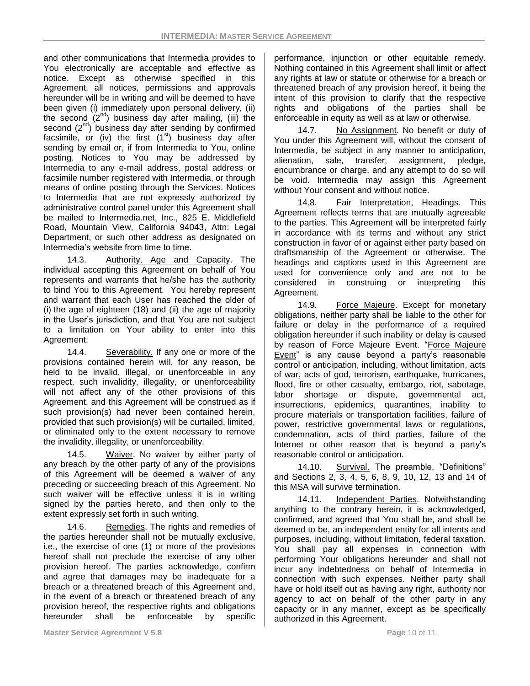and other communications that Intermedia provides to You electronically are acceptable and effective as notice. Except as otherwise specified in this Agreement, all notices, permissions and approvals hereunder will be in writing and will be deemed to have been given (i) immediately upon personal delivery, (ii) the second  $(2^{nd})$  business day after mailing, (iii) the second  $(2^{nd})$  business day after sending by confirmed facsimile, or (iv) the first  $(1<sup>st</sup>)$  business day after sending by email or, if from Intermedia to You, online posting. Notices to You may be addressed by Intermedia to any e-mail address, postal address or facsimile number registered with Intermedia, or through means of online posting through the Services. Notices to Intermedia that are not expressly authorized by administrative control panel under this Agreement shall be mailed to Intermedia.net, Inc., 825 E. Middlefield Road, Mountain View, California 94043, Attn: Legal Department, or such other address as designated on Intermedia's website from time to time.

14.3. Authority, Age and Capacity. The individual accepting this Agreement on behalf of You represents and warrants that he/she has the authority to bind You to this Agreement. You hereby represent and warrant that each User has reached the older of (i) the age of eighteen (18) and (ii) the age of majority in the User's jurisdiction, and that You are not subject to a limitation on Your ability to enter into this Agreement.

14.4. Severability. If any one or more of the provisions contained herein will, for any reason, be held to be invalid, illegal, or unenforceable in any respect, such invalidity, illegality, or unenforceability will not affect any of the other provisions of this Agreement, and this Agreement will be construed as if such provision(s) had never been contained herein, provided that such provision(s) will be curtailed, limited, or eliminated only to the extent necessary to remove the invalidity, illegality, or unenforceability.

14.5. Waiver. No waiver by either party of any breach by the other party of any of the provisions of this Agreement will be deemed a waiver of any preceding or succeeding breach of this Agreement. No such waiver will be effective unless it is in writing signed by the parties hereto, and then only to the extent expressly set forth in such writing.

14.6. Remedies. The rights and remedies of the parties hereunder shall not be mutually exclusive, i.e., the exercise of one (1) or more of the provisions hereof shall not preclude the exercise of any other provision hereof. The parties acknowledge, confirm and agree that damages may be inadequate for a breach or a threatened breach of this Agreement and, in the event of a breach or threatened breach of any provision hereof, the respective rights and obligations hereunder shall be enforceable by specific performance, injunction or other equitable remedy. Nothing contained in this Agreement shall limit or affect any rights at law or statute or otherwise for a breach or threatened breach of any provision hereof, it being the intent of this provision to clarify that the respective rights and obligations of the parties shall be enforceable in equity as well as at law or otherwise.

14.7. No Assignment. No benefit or duty of You under this Agreement will, without the consent of Intermedia, be subject in any manner to anticipation, alienation, sale, transfer, assignment, pledge, encumbrance or charge, and any attempt to do so will be void. Intermedia may assign this Agreement without Your consent and without notice.

14.8. Fair Interpretation, Headings. This Agreement reflects terms that are mutually agreeable to the parties. This Agreement will be interpreted fairly in accordance with its terms and without any strict construction in favor of or against either party based on draftsmanship of the Agreement or otherwise. The headings and captions used in this Agreement are used for convenience only and are not to be considered in construing or interpreting this Agreement.

14.9. Force Majeure. Except for monetary obligations, neither party shall be liable to the other for failure or delay in the performance of a required obligation hereunder if such inability or delay is caused by reason of Force Majeure Event. "Force Majeure Event" is any cause beyond a party's reasonable control or anticipation, including, without limitation, acts of war, acts of god, terrorism, earthquake, hurricanes, flood, fire or other casualty, embargo, riot, sabotage, labor shortage or dispute, governmental act, insurrections, epidemics, quarantines, inability to procure materials or transportation facilities, failure of power, restrictive governmental laws or regulations, condemnation, acts of third parties, failure of the Internet or other reason that is beyond a party's reasonable control or anticipation.

14.10. Survival. The preamble, "Definitions" and Sections 2, 3, 4, 5, 6, 8, 9, 10, 12, 13 and 14 of this MSA will survive termination.

14.11. Independent Parties. Notwithstanding anything to the contrary herein, it is acknowledged, confirmed, and agreed that You shall be, and shall be deemed to be, an independent entity for all intents and purposes, including, without limitation, federal taxation. You shall pay all expenses in connection with performing Your obligations hereunder and shall not incur any indebtedness on behalf of Intermedia in connection with such expenses. Neither party shall have or hold itself out as having any right, authority nor agency to act on behalf of the other party in any capacity or in any manner, except as be specifically authorized in this Agreement.